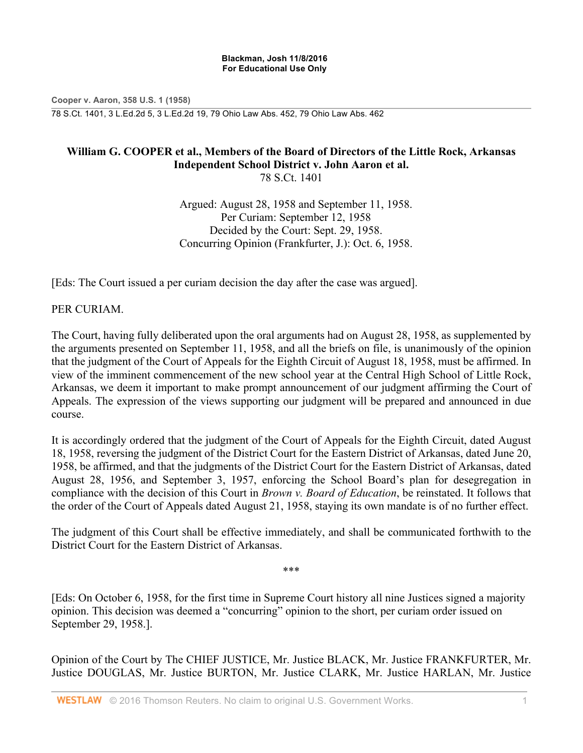**Cooper v. Aaron, 358 U.S. 1 (1958)**

78 S.Ct. 1401, 3 L.Ed.2d 5, 3 L.Ed.2d 19, 79 Ohio Law Abs. 452, 79 Ohio Law Abs. 462

# **William G. COOPER et al., Members of the Board of Directors of the Little Rock, Arkansas Independent School District v. John Aaron et al.**

78 S.Ct. 1401

Argued: August 28, 1958 and September 11, 1958. Per Curiam: September 12, 1958 Decided by the Court: Sept. 29, 1958. Concurring Opinion (Frankfurter, J.): Oct. 6, 1958.

[Eds: The Court issued a per curiam decision the day after the case was argued].

## PER CURIAM.

The Court, having fully deliberated upon the oral arguments had on August 28, 1958, as supplemented by the arguments presented on September 11, 1958, and all the briefs on file, is unanimously of the opinion that the judgment of the Court of Appeals for the Eighth Circuit of August 18, 1958, must be affirmed. In view of the imminent commencement of the new school year at the Central High School of Little Rock, Arkansas, we deem it important to make prompt announcement of our judgment affirming the Court of Appeals. The expression of the views supporting our judgment will be prepared and announced in due course.

It is accordingly ordered that the judgment of the Court of Appeals for the Eighth Circuit, dated August 18, 1958, reversing the judgment of the District Court for the Eastern District of Arkansas, dated June 20, 1958, be affirmed, and that the judgments of the District Court for the Eastern District of Arkansas, dated August 28, 1956, and September 3, 1957, enforcing the School Board's plan for desegregation in compliance with the decision of this Court in *Brown v. Board of Education*, be reinstated. It follows that the order of the Court of Appeals dated August 21, 1958, staying its own mandate is of no further effect.

The judgment of this Court shall be effective immediately, and shall be communicated forthwith to the District Court for the Eastern District of Arkansas.

\*\*\*

[Eds: On October 6, 1958, for the first time in Supreme Court history all nine Justices signed a majority opinion. This decision was deemed a "concurring" opinion to the short, per curiam order issued on September 29, 1958.].

Opinion of the Court by The CHIEF JUSTICE, Mr. Justice BLACK, Mr. Justice FRANKFURTER, Mr. Justice DOUGLAS, Mr. Justice BURTON, Mr. Justice CLARK, Mr. Justice HARLAN, Mr. Justice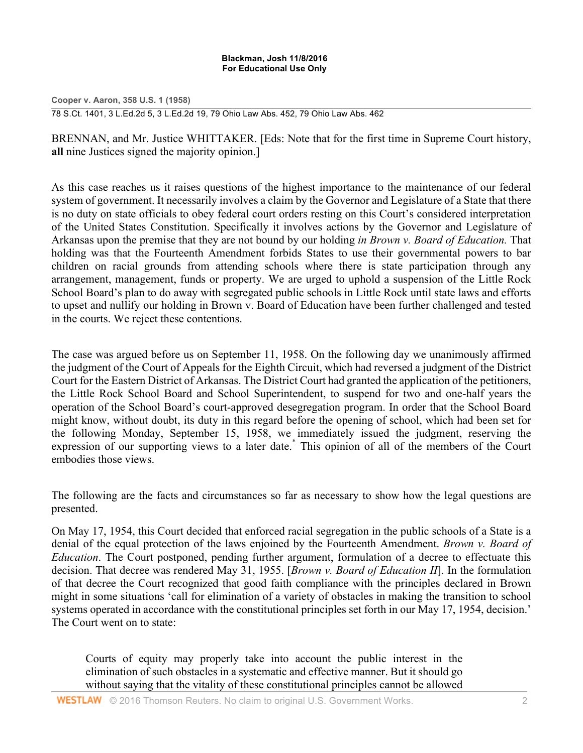**Cooper v. Aaron, 358 U.S. 1 (1958)**

78 S.Ct. 1401, 3 L.Ed.2d 5, 3 L.Ed.2d 19, 79 Ohio Law Abs. 452, 79 Ohio Law Abs. 462

BRENNAN, and Mr. Justice WHITTAKER. [Eds: Note that for the first time in Supreme Court history, **all** nine Justices signed the majority opinion.]

As this case reaches us it raises questions of the highest importance to the maintenance of our federal system of government. It necessarily involves a claim by the Governor and Legislature of a State that there is no duty on state officials to obey federal court orders resting on this Court's considered interpretation of the United States Constitution. Specifically it involves actions by the Governor and Legislature of Arkansas upon the premise that they are not bound by our holding *in Brown v. Board of Education.* That holding was that the Fourteenth Amendment forbids States to use their governmental powers to bar children on racial grounds from attending schools where there is state participation through any arrangement, management, funds or property. We are urged to uphold a suspension of the Little Rock School Board's plan to do away with segregated public schools in Little Rock until state laws and efforts to upset and nullify our holding in Brown v. Board of Education have been further challenged and tested in the courts. We reject these contentions.

The case was argued before us on September 11, 1958. On the following day we unanimously affirmed the judgment of the Court of Appeals for the Eighth Circuit, which had reversed a judgment of the District Court for the Eastern District of Arkansas. The District Court had granted the application of the petitioners, the Little Rock School Board and School Superintendent, to suspend for two and one-half years the operation of the School Board's court-approved desegregation program. In order that the School Board might know, without doubt, its duty in this regard before the opening of school, which had been set for the following Monday, September 15, 1958, we immediately issued the judgment, reserving the expression of our supporting views to a later date.\* This opinion of all of the members of the Court embodies those views.

The following are the facts and circumstances so far as necessary to show how the legal questions are presented.

On May 17, 1954, this Court decided that enforced racial segregation in the public schools of a State is a denial of the equal protection of the laws enjoined by the Fourteenth Amendment. *Brown v. Board of Education*. The Court postponed, pending further argument, formulation of a decree to effectuate this decision. That decree was rendered May 31, 1955. [*Brown v. Board of Education II*]. In the formulation of that decree the Court recognized that good faith compliance with the principles declared in Brown might in some situations 'call for elimination of a variety of obstacles in making the transition to school systems operated in accordance with the constitutional principles set forth in our May 17, 1954, decision.' The Court went on to state:

Courts of equity may properly take into account the public interest in the elimination of such obstacles in a systematic and effective manner. But it should go without saying that the vitality of these constitutional principles cannot be allowed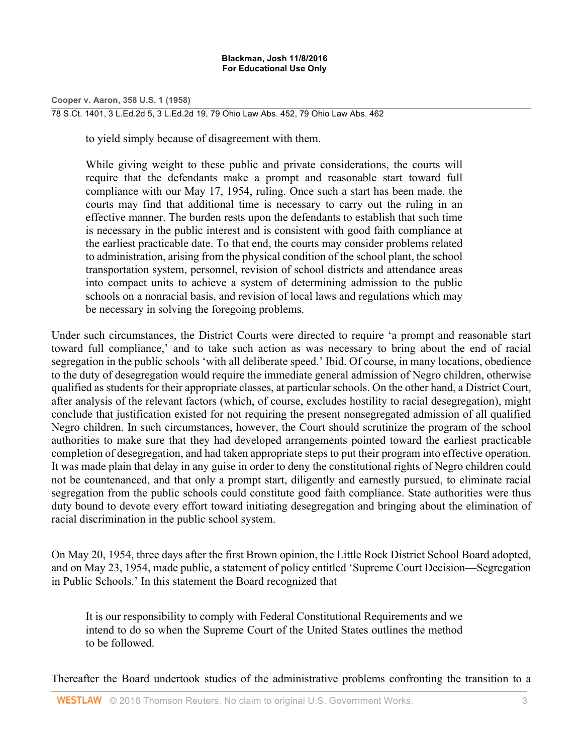#### **Cooper v. Aaron, 358 U.S. 1 (1958)**

78 S.Ct. 1401, 3 L.Ed.2d 5, 3 L.Ed.2d 19, 79 Ohio Law Abs. 452, 79 Ohio Law Abs. 462

to yield simply because of disagreement with them.

While giving weight to these public and private considerations, the courts will require that the defendants make a prompt and reasonable start toward full compliance with our May 17, 1954, ruling. Once such a start has been made, the courts may find that additional time is necessary to carry out the ruling in an effective manner. The burden rests upon the defendants to establish that such time is necessary in the public interest and is consistent with good faith compliance at the earliest practicable date. To that end, the courts may consider problems related to administration, arising from the physical condition of the school plant, the school transportation system, personnel, revision of school districts and attendance areas into compact units to achieve a system of determining admission to the public schools on a nonracial basis, and revision of local laws and regulations which may be necessary in solving the foregoing problems.

Under such circumstances, the District Courts were directed to require 'a prompt and reasonable start toward full compliance,' and to take such action as was necessary to bring about the end of racial segregation in the public schools 'with all deliberate speed.' Ibid. Of course, in many locations, obedience to the duty of desegregation would require the immediate general admission of Negro children, otherwise qualified as students for their appropriate classes, at particular schools. On the other hand, a District Court, after analysis of the relevant factors (which, of course, excludes hostility to racial desegregation), might conclude that justification existed for not requiring the present nonsegregated admission of all qualified Negro children. In such circumstances, however, the Court should scrutinize the program of the school authorities to make sure that they had developed arrangements pointed toward the earliest practicable completion of desegregation, and had taken appropriate steps to put their program into effective operation. It was made plain that delay in any guise in order to deny the constitutional rights of Negro children could not be countenanced, and that only a prompt start, diligently and earnestly pursued, to eliminate racial segregation from the public schools could constitute good faith compliance. State authorities were thus duty bound to devote every effort toward initiating desegregation and bringing about the elimination of racial discrimination in the public school system.

On May 20, 1954, three days after the first Brown opinion, the Little Rock District School Board adopted, and on May 23, 1954, made public, a statement of policy entitled 'Supreme Court Decision—Segregation in Public Schools.' In this statement the Board recognized that

It is our responsibility to comply with Federal Constitutional Requirements and we intend to do so when the Supreme Court of the United States outlines the method to be followed.

Thereafter the Board undertook studies of the administrative problems confronting the transition to a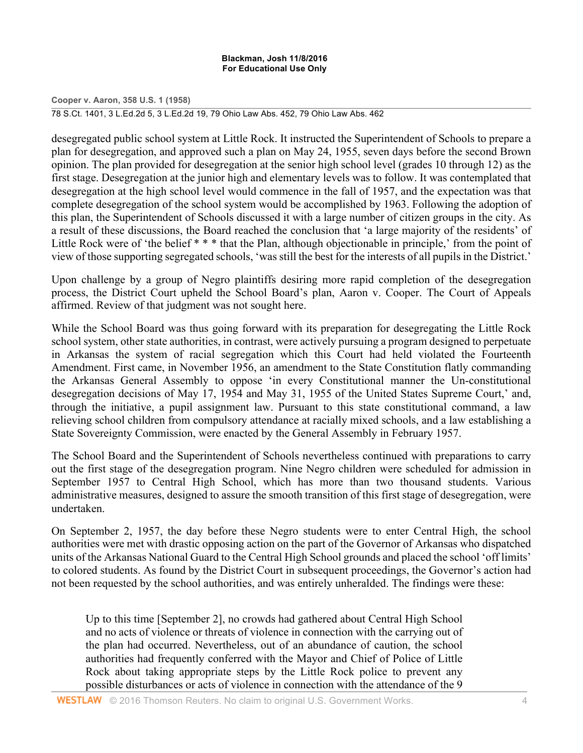#### **Cooper v. Aaron, 358 U.S. 1 (1958)**

78 S.Ct. 1401, 3 L.Ed.2d 5, 3 L.Ed.2d 19, 79 Ohio Law Abs. 452, 79 Ohio Law Abs. 462

desegregated public school system at Little Rock. It instructed the Superintendent of Schools to prepare a plan for desegregation, and approved such a plan on May 24, 1955, seven days before the second Brown opinion. The plan provided for desegregation at the senior high school level (grades 10 through 12) as the first stage. Desegregation at the junior high and elementary levels was to follow. It was contemplated that desegregation at the high school level would commence in the fall of 1957, and the expectation was that complete desegregation of the school system would be accomplished by 1963. Following the adoption of this plan, the Superintendent of Schools discussed it with a large number of citizen groups in the city. As a result of these discussions, the Board reached the conclusion that 'a large majority of the residents' of Little Rock were of 'the belief \* \* \* that the Plan, although objectionable in principle,' from the point of view of those supporting segregated schools, 'was still the best for the interests of all pupils in the District.'

Upon challenge by a group of Negro plaintiffs desiring more rapid completion of the desegregation process, the District Court upheld the School Board's plan, Aaron v. Cooper. The Court of Appeals affirmed. Review of that judgment was not sought here.

While the School Board was thus going forward with its preparation for desegregating the Little Rock school system, other state authorities, in contrast, were actively pursuing a program designed to perpetuate in Arkansas the system of racial segregation which this Court had held violated the Fourteenth Amendment. First came, in November 1956, an amendment to the State Constitution flatly commanding the Arkansas General Assembly to oppose 'in every Constitutional manner the Un-constitutional desegregation decisions of May 17, 1954 and May 31, 1955 of the United States Supreme Court,' and, through the initiative, a pupil assignment law. Pursuant to this state constitutional command, a law relieving school children from compulsory attendance at racially mixed schools, and a law establishing a State Sovereignty Commission, were enacted by the General Assembly in February 1957.

The School Board and the Superintendent of Schools nevertheless continued with preparations to carry out the first stage of the desegregation program. Nine Negro children were scheduled for admission in September 1957 to Central High School, which has more than two thousand students. Various administrative measures, designed to assure the smooth transition of this first stage of desegregation, were undertaken.

On September 2, 1957, the day before these Negro students were to enter Central High, the school authorities were met with drastic opposing action on the part of the Governor of Arkansas who dispatched units of the Arkansas National Guard to the Central High School grounds and placed the school 'off limits' to colored students. As found by the District Court in subsequent proceedings, the Governor's action had not been requested by the school authorities, and was entirely unheralded. The findings were these:

Up to this time [September 2], no crowds had gathered about Central High School and no acts of violence or threats of violence in connection with the carrying out of the plan had occurred. Nevertheless, out of an abundance of caution, the school authorities had frequently conferred with the Mayor and Chief of Police of Little Rock about taking appropriate steps by the Little Rock police to prevent any possible disturbances or acts of violence in connection with the attendance of the 9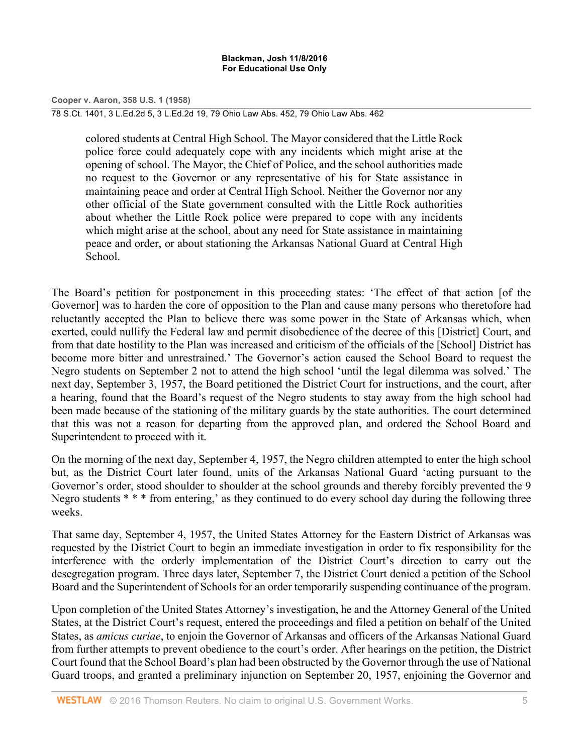#### **Cooper v. Aaron, 358 U.S. 1 (1958)**

78 S.Ct. 1401, 3 L.Ed.2d 5, 3 L.Ed.2d 19, 79 Ohio Law Abs. 452, 79 Ohio Law Abs. 462

colored students at Central High School. The Mayor considered that the Little Rock police force could adequately cope with any incidents which might arise at the opening of school. The Mayor, the Chief of Police, and the school authorities made no request to the Governor or any representative of his for State assistance in maintaining peace and order at Central High School. Neither the Governor nor any other official of the State government consulted with the Little Rock authorities about whether the Little Rock police were prepared to cope with any incidents which might arise at the school, about any need for State assistance in maintaining peace and order, or about stationing the Arkansas National Guard at Central High School.

The Board's petition for postponement in this proceeding states: 'The effect of that action [of the Governor] was to harden the core of opposition to the Plan and cause many persons who theretofore had reluctantly accepted the Plan to believe there was some power in the State of Arkansas which, when exerted, could nullify the Federal law and permit disobedience of the decree of this [District] Court, and from that date hostility to the Plan was increased and criticism of the officials of the [School] District has become more bitter and unrestrained.' The Governor's action caused the School Board to request the Negro students on September 2 not to attend the high school 'until the legal dilemma was solved.' The next day, September 3, 1957, the Board petitioned the District Court for instructions, and the court, after a hearing, found that the Board's request of the Negro students to stay away from the high school had been made because of the stationing of the military guards by the state authorities. The court determined that this was not a reason for departing from the approved plan, and ordered the School Board and Superintendent to proceed with it.

On the morning of the next day, September 4, 1957, the Negro children attempted to enter the high school but, as the District Court later found, units of the Arkansas National Guard 'acting pursuant to the Governor's order, stood shoulder to shoulder at the school grounds and thereby forcibly prevented the 9 Negro students \* \* \* from entering,' as they continued to do every school day during the following three weeks.

That same day, September 4, 1957, the United States Attorney for the Eastern District of Arkansas was requested by the District Court to begin an immediate investigation in order to fix responsibility for the interference with the orderly implementation of the District Court's direction to carry out the desegregation program. Three days later, September 7, the District Court denied a petition of the School Board and the Superintendent of Schools for an order temporarily suspending continuance of the program.

Upon completion of the United States Attorney's investigation, he and the Attorney General of the United States, at the District Court's request, entered the proceedings and filed a petition on behalf of the United States, as *amicus curiae*, to enjoin the Governor of Arkansas and officers of the Arkansas National Guard from further attempts to prevent obedience to the court's order. After hearings on the petition, the District Court found that the School Board's plan had been obstructed by the Governor through the use of National Guard troops, and granted a preliminary injunction on September 20, 1957, enjoining the Governor and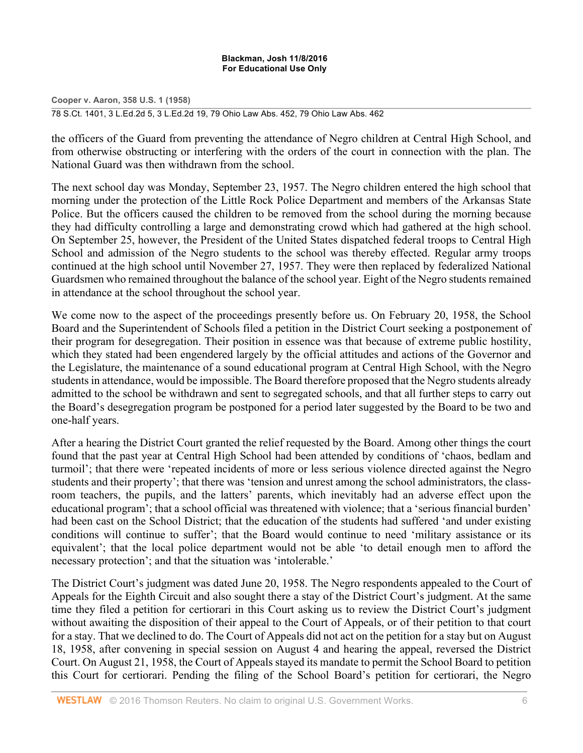#### **Cooper v. Aaron, 358 U.S. 1 (1958)**

78 S.Ct. 1401, 3 L.Ed.2d 5, 3 L.Ed.2d 19, 79 Ohio Law Abs. 452, 79 Ohio Law Abs. 462

the officers of the Guard from preventing the attendance of Negro children at Central High School, and from otherwise obstructing or interfering with the orders of the court in connection with the plan. The National Guard was then withdrawn from the school.

The next school day was Monday, September 23, 1957. The Negro children entered the high school that morning under the protection of the Little Rock Police Department and members of the Arkansas State Police. But the officers caused the children to be removed from the school during the morning because they had difficulty controlling a large and demonstrating crowd which had gathered at the high school. On September 25, however, the President of the United States dispatched federal troops to Central High School and admission of the Negro students to the school was thereby effected. Regular army troops continued at the high school until November 27, 1957. They were then replaced by federalized National Guardsmen who remained throughout the balance of the school year. Eight of the Negro students remained in attendance at the school throughout the school year.

We come now to the aspect of the proceedings presently before us. On February 20, 1958, the School Board and the Superintendent of Schools filed a petition in the District Court seeking a postponement of their program for desegregation. Their position in essence was that because of extreme public hostility, which they stated had been engendered largely by the official attitudes and actions of the Governor and the Legislature, the maintenance of a sound educational program at Central High School, with the Negro students in attendance, would be impossible. The Board therefore proposed that the Negro students already admitted to the school be withdrawn and sent to segregated schools, and that all further steps to carry out the Board's desegregation program be postponed for a period later suggested by the Board to be two and one-half years.

After a hearing the District Court granted the relief requested by the Board. Among other things the court found that the past year at Central High School had been attended by conditions of 'chaos, bedlam and turmoil'; that there were 'repeated incidents of more or less serious violence directed against the Negro students and their property'; that there was 'tension and unrest among the school administrators, the classroom teachers, the pupils, and the latters' parents, which inevitably had an adverse effect upon the educational program'; that a school official was threatened with violence; that a 'serious financial burden' had been cast on the School District; that the education of the students had suffered 'and under existing conditions will continue to suffer'; that the Board would continue to need 'military assistance or its equivalent'; that the local police department would not be able 'to detail enough men to afford the necessary protection'; and that the situation was 'intolerable.'

The District Court's judgment was dated June 20, 1958. The Negro respondents appealed to the Court of Appeals for the Eighth Circuit and also sought there a stay of the District Court's judgment. At the same time they filed a petition for certiorari in this Court asking us to review the District Court's judgment without awaiting the disposition of their appeal to the Court of Appeals, or of their petition to that court for a stay. That we declined to do. The Court of Appeals did not act on the petition for a stay but on August 18, 1958, after convening in special session on August 4 and hearing the appeal, reversed the District Court. On August 21, 1958, the Court of Appeals stayed its mandate to permit the School Board to petition this Court for certiorari. Pending the filing of the School Board's petition for certiorari, the Negro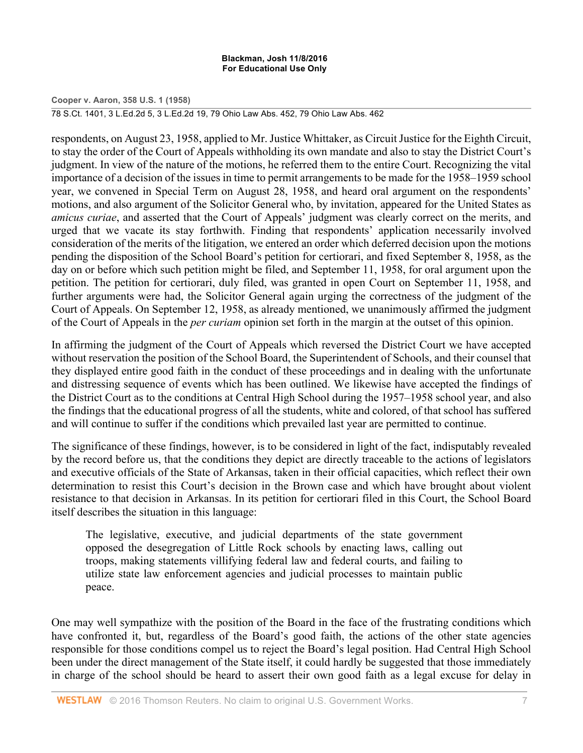#### **Cooper v. Aaron, 358 U.S. 1 (1958)**

78 S.Ct. 1401, 3 L.Ed.2d 5, 3 L.Ed.2d 19, 79 Ohio Law Abs. 452, 79 Ohio Law Abs. 462

respondents, on August 23, 1958, applied to Mr. Justice Whittaker, as Circuit Justice for the Eighth Circuit, to stay the order of the Court of Appeals withholding its own mandate and also to stay the District Court's judgment. In view of the nature of the motions, he referred them to the entire Court. Recognizing the vital importance of a decision of the issues in time to permit arrangements to be made for the 1958–1959 school year, we convened in Special Term on August 28, 1958, and heard oral argument on the respondents' motions, and also argument of the Solicitor General who, by invitation, appeared for the United States as *amicus curiae*, and asserted that the Court of Appeals' judgment was clearly correct on the merits, and urged that we vacate its stay forthwith. Finding that respondents' application necessarily involved consideration of the merits of the litigation, we entered an order which deferred decision upon the motions pending the disposition of the School Board's petition for certiorari, and fixed September 8, 1958, as the day on or before which such petition might be filed, and September 11, 1958, for oral argument upon the petition. The petition for certiorari, duly filed, was granted in open Court on September 11, 1958, and further arguments were had, the Solicitor General again urging the correctness of the judgment of the Court of Appeals. On September 12, 1958, as already mentioned, we unanimously affirmed the judgment of the Court of Appeals in the *per curiam* opinion set forth in the margin at the outset of this opinion.

In affirming the judgment of the Court of Appeals which reversed the District Court we have accepted without reservation the position of the School Board, the Superintendent of Schools, and their counsel that they displayed entire good faith in the conduct of these proceedings and in dealing with the unfortunate and distressing sequence of events which has been outlined. We likewise have accepted the findings of the District Court as to the conditions at Central High School during the 1957–1958 school year, and also the findings that the educational progress of all the students, white and colored, of that school has suffered and will continue to suffer if the conditions which prevailed last year are permitted to continue.

The significance of these findings, however, is to be considered in light of the fact, indisputably revealed by the record before us, that the conditions they depict are directly traceable to the actions of legislators and executive officials of the State of Arkansas, taken in their official capacities, which reflect their own determination to resist this Court's decision in the Brown case and which have brought about violent resistance to that decision in Arkansas. In its petition for certiorari filed in this Court, the School Board itself describes the situation in this language:

The legislative, executive, and judicial departments of the state government opposed the desegregation of Little Rock schools by enacting laws, calling out troops, making statements villifying federal law and federal courts, and failing to utilize state law enforcement agencies and judicial processes to maintain public peace.

One may well sympathize with the position of the Board in the face of the frustrating conditions which have confronted it, but, regardless of the Board's good faith, the actions of the other state agencies responsible for those conditions compel us to reject the Board's legal position. Had Central High School been under the direct management of the State itself, it could hardly be suggested that those immediately in charge of the school should be heard to assert their own good faith as a legal excuse for delay in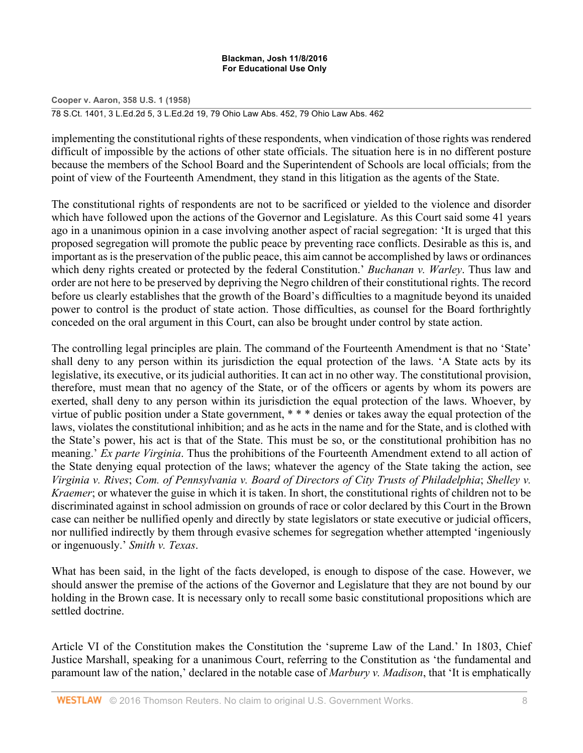#### **Cooper v. Aaron, 358 U.S. 1 (1958)**

78 S.Ct. 1401, 3 L.Ed.2d 5, 3 L.Ed.2d 19, 79 Ohio Law Abs. 452, 79 Ohio Law Abs. 462

implementing the constitutional rights of these respondents, when vindication of those rights was rendered difficult of impossible by the actions of other state officials. The situation here is in no different posture because the members of the School Board and the Superintendent of Schools are local officials; from the point of view of the Fourteenth Amendment, they stand in this litigation as the agents of the State.

The constitutional rights of respondents are not to be sacrificed or yielded to the violence and disorder which have followed upon the actions of the Governor and Legislature. As this Court said some 41 years ago in a unanimous opinion in a case involving another aspect of racial segregation: 'It is urged that this proposed segregation will promote the public peace by preventing race conflicts. Desirable as this is, and important as is the preservation of the public peace, this aim cannot be accomplished by laws or ordinances which deny rights created or protected by the federal Constitution.' *Buchanan v. Warley*. Thus law and order are not here to be preserved by depriving the Negro children of their constitutional rights. The record before us clearly establishes that the growth of the Board's difficulties to a magnitude beyond its unaided power to control is the product of state action. Those difficulties, as counsel for the Board forthrightly conceded on the oral argument in this Court, can also be brought under control by state action.

The controlling legal principles are plain. The command of the Fourteenth Amendment is that no 'State' shall deny to any person within its jurisdiction the equal protection of the laws. 'A State acts by its legislative, its executive, or its judicial authorities. It can act in no other way. The constitutional provision, therefore, must mean that no agency of the State, or of the officers or agents by whom its powers are exerted, shall deny to any person within its jurisdiction the equal protection of the laws. Whoever, by virtue of public position under a State government, \* \* \* denies or takes away the equal protection of the laws, violates the constitutional inhibition; and as he acts in the name and for the State, and is clothed with the State's power, his act is that of the State. This must be so, or the constitutional prohibition has no meaning.' *Ex parte Virginia*. Thus the prohibitions of the Fourteenth Amendment extend to all action of the State denying equal protection of the laws; whatever the agency of the State taking the action, see *Virginia v. Rives*; *Com. of Pennsylvania v. Board of Directors of City Trusts of Philadelphia*; *Shelley v. Kraemer*; or whatever the guise in which it is taken. In short, the constitutional rights of children not to be discriminated against in school admission on grounds of race or color declared by this Court in the Brown case can neither be nullified openly and directly by state legislators or state executive or judicial officers, nor nullified indirectly by them through evasive schemes for segregation whether attempted 'ingeniously or ingenuously.' *Smith v. Texas*.

What has been said, in the light of the facts developed, is enough to dispose of the case. However, we should answer the premise of the actions of the Governor and Legislature that they are not bound by our holding in the Brown case. It is necessary only to recall some basic constitutional propositions which are settled doctrine.

Article VI of the Constitution makes the Constitution the 'supreme Law of the Land.' In 1803, Chief Justice Marshall, speaking for a unanimous Court, referring to the Constitution as 'the fundamental and paramount law of the nation,' declared in the notable case of *Marbury v. Madison*, that 'It is emphatically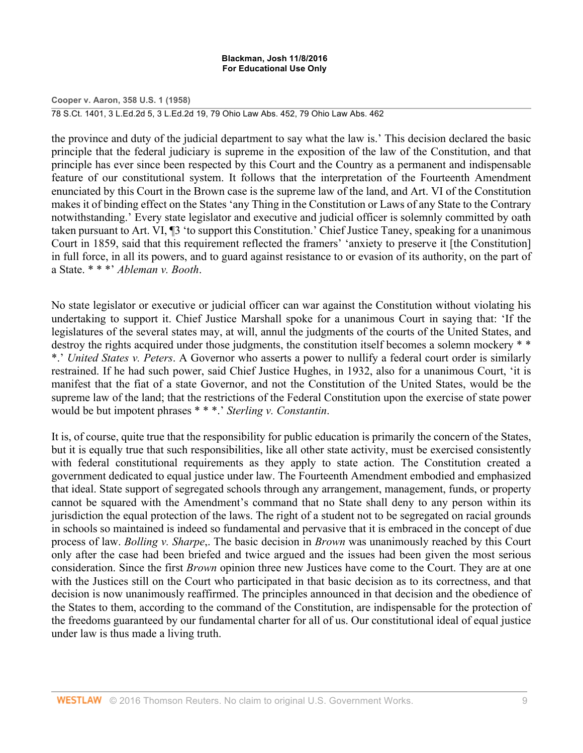#### **Cooper v. Aaron, 358 U.S. 1 (1958)**

78 S.Ct. 1401, 3 L.Ed.2d 5, 3 L.Ed.2d 19, 79 Ohio Law Abs. 452, 79 Ohio Law Abs. 462

the province and duty of the judicial department to say what the law is.' This decision declared the basic principle that the federal judiciary is supreme in the exposition of the law of the Constitution, and that principle has ever since been respected by this Court and the Country as a permanent and indispensable feature of our constitutional system. It follows that the interpretation of the Fourteenth Amendment enunciated by this Court in the Brown case is the supreme law of the land, and Art. VI of the Constitution makes it of binding effect on the States 'any Thing in the Constitution or Laws of any State to the Contrary notwithstanding.' Every state legislator and executive and judicial officer is solemnly committed by oath taken pursuant to Art. VI, ¶3 'to support this Constitution.' Chief Justice Taney, speaking for a unanimous Court in 1859, said that this requirement reflected the framers' 'anxiety to preserve it [the Constitution] in full force, in all its powers, and to guard against resistance to or evasion of its authority, on the part of a State. \* \* \*' *Ableman v. Booth*.

No state legislator or executive or judicial officer can war against the Constitution without violating his undertaking to support it. Chief Justice Marshall spoke for a unanimous Court in saying that: 'If the legislatures of the several states may, at will, annul the judgments of the courts of the United States, and destroy the rights acquired under those judgments, the constitution itself becomes a solemn mockery  $*$ \*.' *United States v. Peters*. A Governor who asserts a power to nullify a federal court order is similarly restrained. If he had such power, said Chief Justice Hughes, in 1932, also for a unanimous Court, 'it is manifest that the fiat of a state Governor, and not the Constitution of the United States, would be the supreme law of the land; that the restrictions of the Federal Constitution upon the exercise of state power would be but impotent phrases \* \* \*.' *Sterling v. Constantin*.

It is, of course, quite true that the responsibility for public education is primarily the concern of the States, but it is equally true that such responsibilities, like all other state activity, must be exercised consistently with federal constitutional requirements as they apply to state action. The Constitution created a government dedicated to equal justice under law. The Fourteenth Amendment embodied and emphasized that ideal. State support of segregated schools through any arrangement, management, funds, or property cannot be squared with the Amendment's command that no State shall deny to any person within its jurisdiction the equal protection of the laws. The right of a student not to be segregated on racial grounds in schools so maintained is indeed so fundamental and pervasive that it is embraced in the concept of due process of law. *Bolling v. Sharpe*,. The basic decision in *Brown* was unanimously reached by this Court only after the case had been briefed and twice argued and the issues had been given the most serious consideration. Since the first *Brown* opinion three new Justices have come to the Court. They are at one with the Justices still on the Court who participated in that basic decision as to its correctness, and that decision is now unanimously reaffirmed. The principles announced in that decision and the obedience of the States to them, according to the command of the Constitution, are indispensable for the protection of the freedoms guaranteed by our fundamental charter for all of us. Our constitutional ideal of equal justice under law is thus made a living truth.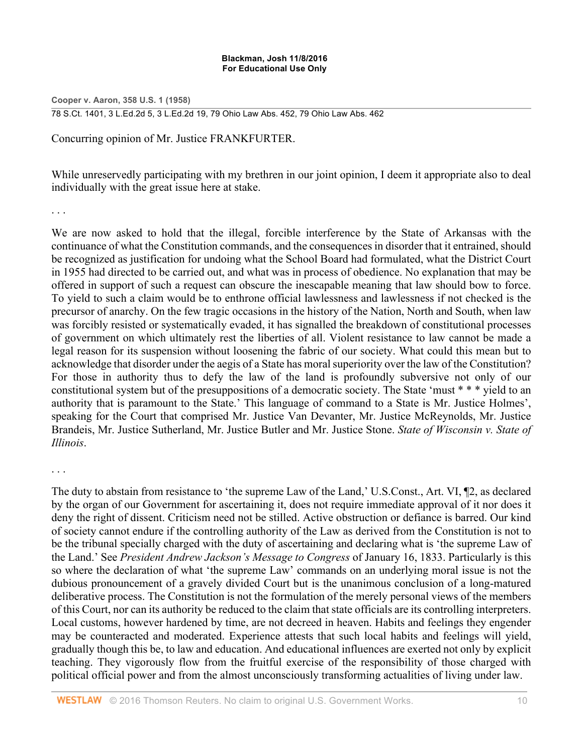**Cooper v. Aaron, 358 U.S. 1 (1958)**

78 S.Ct. 1401, 3 L.Ed.2d 5, 3 L.Ed.2d 19, 79 Ohio Law Abs. 452, 79 Ohio Law Abs. 462

### Concurring opinion of Mr. Justice FRANKFURTER.

While unreservedly participating with my brethren in our joint opinion, I deem it appropriate also to deal individually with the great issue here at stake.

. . .

We are now asked to hold that the illegal, forcible interference by the State of Arkansas with the continuance of what the Constitution commands, and the consequences in disorder that it entrained, should be recognized as justification for undoing what the School Board had formulated, what the District Court in 1955 had directed to be carried out, and what was in process of obedience. No explanation that may be offered in support of such a request can obscure the inescapable meaning that law should bow to force. To yield to such a claim would be to enthrone official lawlessness and lawlessness if not checked is the precursor of anarchy. On the few tragic occasions in the history of the Nation, North and South, when law was forcibly resisted or systematically evaded, it has signalled the breakdown of constitutional processes of government on which ultimately rest the liberties of all. Violent resistance to law cannot be made a legal reason for its suspension without loosening the fabric of our society. What could this mean but to acknowledge that disorder under the aegis of a State has moral superiority over the law of the Constitution? For those in authority thus to defy the law of the land is profoundly subversive not only of our constitutional system but of the presuppositions of a democratic society. The State 'must \* \* \* yield to an authority that is paramount to the State.' This language of command to a State is Mr. Justice Holmes', speaking for the Court that comprised Mr. Justice Van Devanter, Mr. Justice McReynolds, Mr. Justice Brandeis, Mr. Justice Sutherland, Mr. Justice Butler and Mr. Justice Stone. *State of Wisconsin v. State of Illinois*.

. . .

The duty to abstain from resistance to 'the supreme Law of the Land,' U.S.Const., Art. VI, ¶2, as declared by the organ of our Government for ascertaining it, does not require immediate approval of it nor does it deny the right of dissent. Criticism need not be stilled. Active obstruction or defiance is barred. Our kind of society cannot endure if the controlling authority of the Law as derived from the Constitution is not to be the tribunal specially charged with the duty of ascertaining and declaring what is 'the supreme Law of the Land.' See *President Andrew Jackson's Message to Congress* of January 16, 1833. Particularly is this so where the declaration of what 'the supreme Law' commands on an underlying moral issue is not the dubious pronouncement of a gravely divided Court but is the unanimous conclusion of a long-matured deliberative process. The Constitution is not the formulation of the merely personal views of the members of this Court, nor can its authority be reduced to the claim that state officials are its controlling interpreters. Local customs, however hardened by time, are not decreed in heaven. Habits and feelings they engender may be counteracted and moderated. Experience attests that such local habits and feelings will yield, gradually though this be, to law and education. And educational influences are exerted not only by explicit teaching. They vigorously flow from the fruitful exercise of the responsibility of those charged with political official power and from the almost unconsciously transforming actualities of living under law.